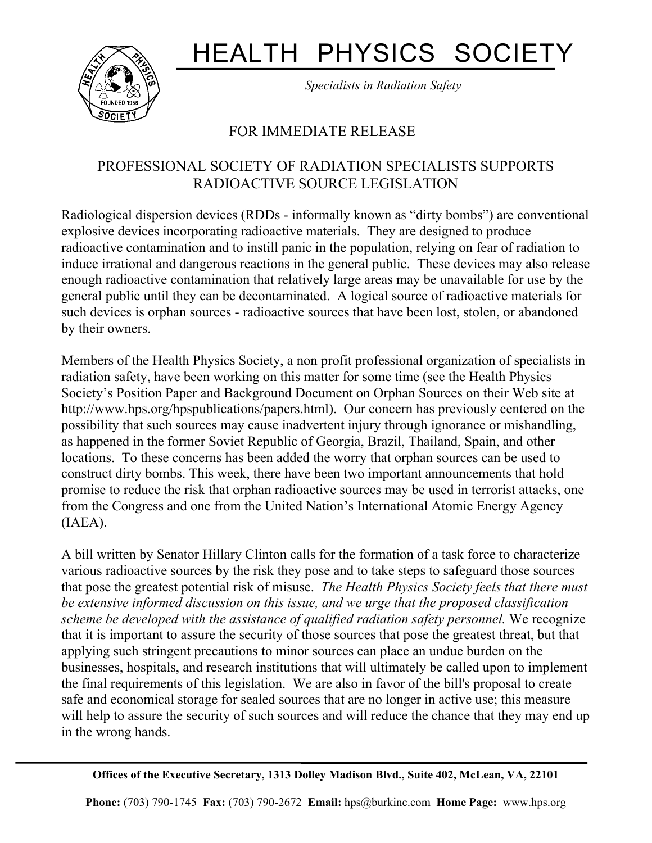## HEALTH PHYSICS SOCIETY



*Specialists in Radiation Safety*

## FOR IMMEDIATE RELEASE

٦

## PROFESSIONAL SOCIETY OF RADIATION SPECIALISTS SUPPORTS RADIOACTIVE SOURCE LEGISLATION

Radiological dispersion devices (RDDs - informally known as "dirty bombs") are conventional explosive devices incorporating radioactive materials. They are designed to produce radioactive contamination and to instill panic in the population, relying on fear of radiation to induce irrational and dangerous reactions in the general public. These devices may also release enough radioactive contamination that relatively large areas may be unavailable for use by the general public until they can be decontaminated. A logical source of radioactive materials for such devices is orphan sources - radioactive sources that have been lost, stolen, or abandoned by their owners.

Members of the Health Physics Society, a non profit professional organization of specialists in radiation safety, have been working on this matter for some time (see the Health Physics Society's Position Paper and Background Document on Orphan Sources on their Web site at http://www.hps.org/hpspublications/papers.html). Our concern has previously centered on the possibility that such sources may cause inadvertent injury through ignorance or mishandling, as happened in the former Soviet Republic of Georgia, Brazil, Thailand, Spain, and other locations. To these concerns has been added the worry that orphan sources can be used to construct dirty bombs. This week, there have been two important announcements that hold promise to reduce the risk that orphan radioactive sources may be used in terrorist attacks, one from the Congress and one from the United Nation's International Atomic Energy Agency (IAEA).

A bill written by Senator Hillary Clinton calls for the formation of a task force to characterize various radioactive sources by the risk they pose and to take steps to safeguard those sources that pose the greatest potential risk of misuse. *The Health Physics Society feels that there must be extensive informed discussion on this issue, and we urge that the proposed classification scheme be developed with the assistance of qualified radiation safety personnel.* We recognize that it is important to assure the security of those sources that pose the greatest threat, but that applying such stringent precautions to minor sources can place an undue burden on the businesses, hospitals, and research institutions that will ultimately be called upon to implement the final requirements of this legislation. We are also in favor of the bill's proposal to create safe and economical storage for sealed sources that are no longer in active use; this measure will help to assure the security of such sources and will reduce the chance that they may end up in the wrong hands.

**Offices of the Executive Secretary, 1313 Dolley Madison Blvd., Suite 402, McLean, VA, 22101** 

**Phone:** (703) 790-1745 **Fax:** (703) 790-2672 **Email:** hps@burkinc.com **Home Page:** www.hps.org